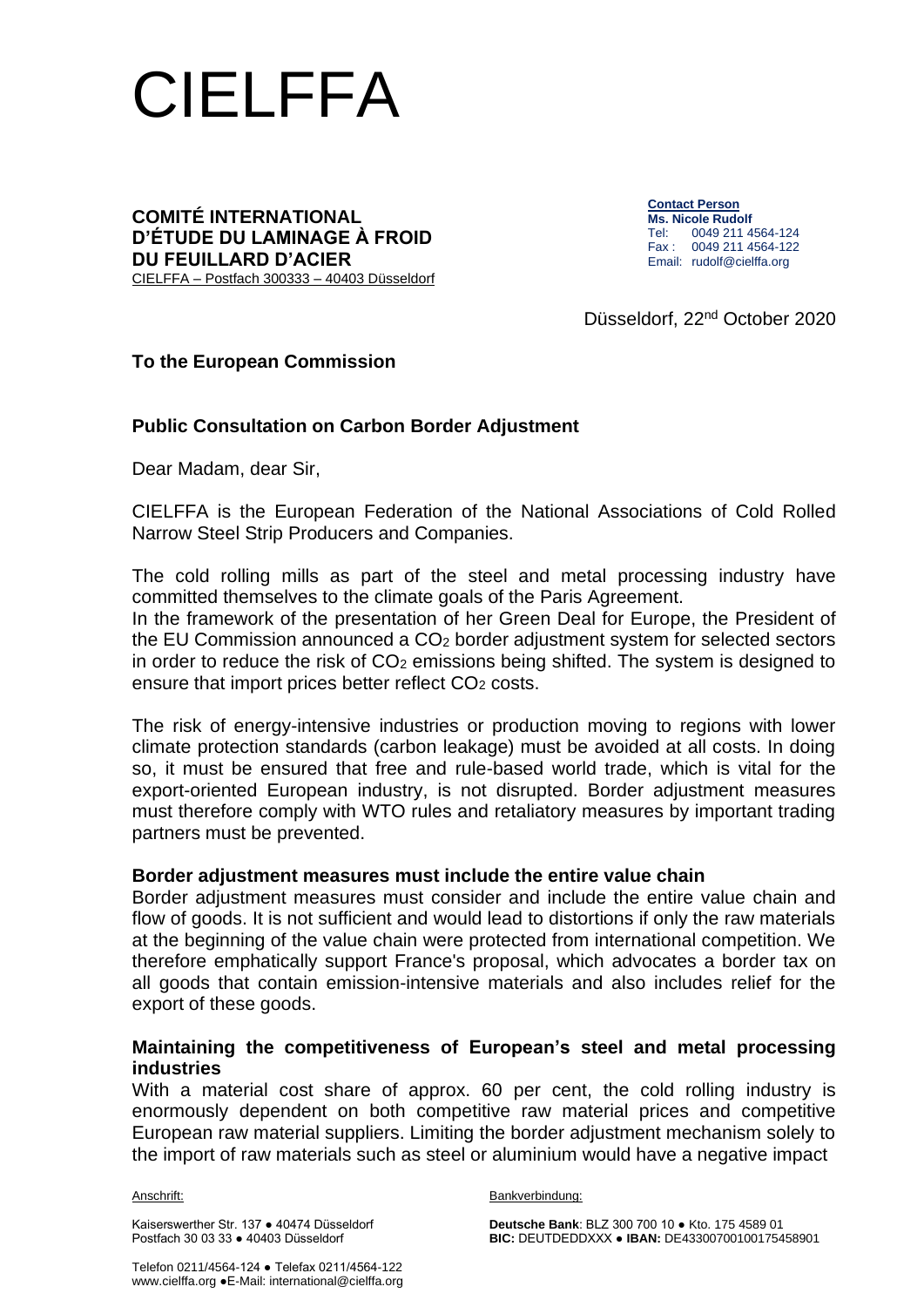

#### **COMITÉ INTERNATIONAL D'ÉTUDE DU LAMINAGE À FROID DU FEUILLARD D'ACIER** CIELFFA – Postfach 300333 – 40403 Düsseldorf

**Contact Person Ms. Nicole Rudolf** Tel: 0049 211 4564-124 Fax : 0049 211 4564-122 Email: rudolf@cielffa.org

Düsseldorf, 22nd October 2020

## **To the European Commission**

## **Public Consultation on Carbon Border Adjustment**

Dear Madam, dear Sir,

CIELFFA is the European Federation of the National Associations of Cold Rolled Narrow Steel Strip Producers and Companies.

The cold rolling mills as part of the steel and metal processing industry have committed themselves to the climate goals of the Paris Agreement.

In the framework of the presentation of her Green Deal for Europe, the President of the EU Commission announced a CO<sup>2</sup> border adjustment system for selected sectors in order to reduce the risk of  $CO<sub>2</sub>$  emissions being shifted. The system is designed to ensure that import prices better reflect CO<sub>2</sub> costs.

The risk of energy-intensive industries or production moving to regions with lower climate protection standards (carbon leakage) must be avoided at all costs. In doing so, it must be ensured that free and rule-based world trade, which is vital for the export-oriented European industry, is not disrupted. Border adjustment measures must therefore comply with WTO rules and retaliatory measures by important trading partners must be prevented.

### **Border adjustment measures must include the entire value chain**

Border adjustment measures must consider and include the entire value chain and flow of goods. It is not sufficient and would lead to distortions if only the raw materials at the beginning of the value chain were protected from international competition. We therefore emphatically support France's proposal, which advocates a border tax on all goods that contain emission-intensive materials and also includes relief for the export of these goods.

### **Maintaining the competitiveness of European's steel and metal processing industries**

With a material cost share of approx. 60 per cent, the cold rolling industry is enormously dependent on both competitive raw material prices and competitive European raw material suppliers. Limiting the border adjustment mechanism solely to the import of raw materials such as steel or aluminium would have a negative impact

Anschrift:<br>Bankverbindung:

Kaiserswerther Str. 137 ● 40474 Düsseldorf **Deutsche Bank**: BLZ 300 700 10 ● Kto. 175 4589 01 **BIC: DEUTDEDDXXX ● IBAN: DE43300700100175458901**